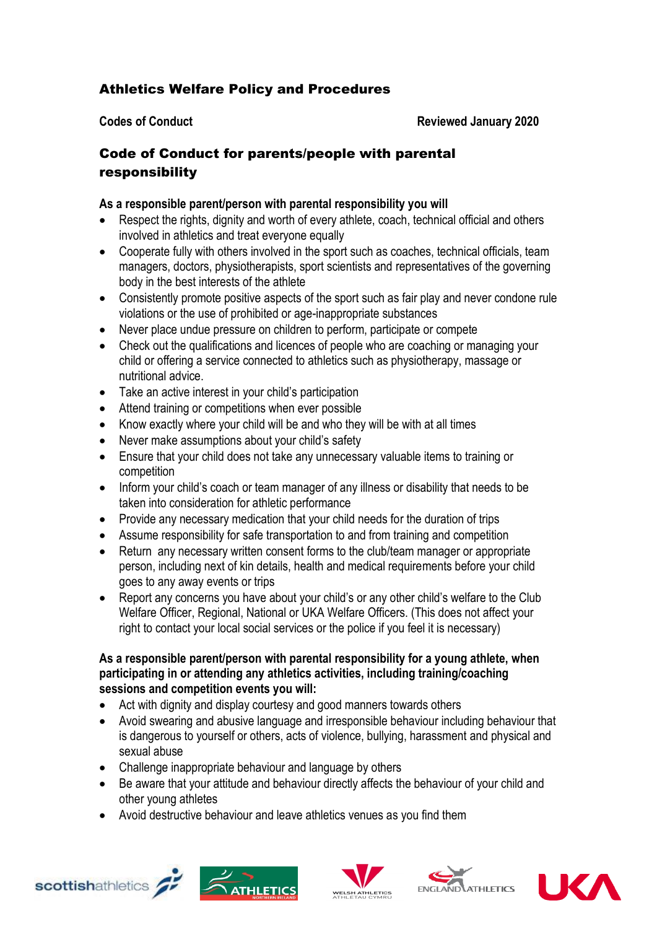## Athletics Welfare Policy and Procedures

**Codes of Conduct Reviewed January 2020** 

## Code of Conduct for parents/people with parental responsibility

## **As a responsible parent/person with parental responsibility you will**

- Respect the rights, dignity and worth of every athlete, coach, technical official and others involved in athletics and treat everyone equally
- Cooperate fully with others involved in the sport such as coaches, technical officials, team managers, doctors, physiotherapists, sport scientists and representatives of the governing body in the best interests of the athlete
- Consistently promote positive aspects of the sport such as fair play and never condone rule violations or the use of prohibited or age-inappropriate substances
- Never place undue pressure on children to perform, participate or compete
- Check out the qualifications and licences of people who are coaching or managing your child or offering a service connected to athletics such as physiotherapy, massage or nutritional advice.
- Take an active interest in your child's participation
- Attend training or competitions when ever possible
- Know exactly where your child will be and who they will be with at all times
- Never make assumptions about your child's safety
- Ensure that your child does not take any unnecessary valuable items to training or competition
- Inform your child's coach or team manager of any illness or disability that needs to be taken into consideration for athletic performance
- Provide any necessary medication that your child needs for the duration of trips
- Assume responsibility for safe transportation to and from training and competition
- Return any necessary written consent forms to the club/team manager or appropriate person, including next of kin details, health and medical requirements before your child goes to any away events or trips
- Report any concerns you have about your child's or any other child's welfare to the Club Welfare Officer, Regional, National or UKA Welfare Officers. (This does not affect your right to contact your local social services or the police if you feel it is necessary)

## **As a responsible parent/person with parental responsibility for a young athlete, when participating in or attending any athletics activities, including training/coaching sessions and competition events you will:**

- Act with dignity and display courtesy and good manners towards others
- Avoid swearing and abusive language and irresponsible behaviour including behaviour that is dangerous to yourself or others, acts of violence, bullying, harassment and physical and sexual abuse
- Challenge inappropriate behaviour and language by others
- Be aware that your attitude and behaviour directly affects the behaviour of your child and other young athletes
- Avoid destructive behaviour and leave athletics venues as you find them